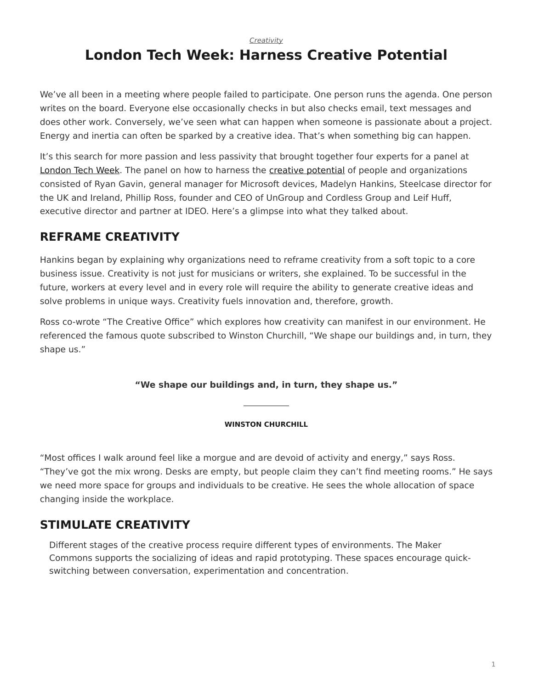*[Creativity](https://www.steelcase.com/research/topics/creativity/)*

# <span id="page-0-0"></span>**London Tech Week: Harness Creative Potential**

We've all been in a meeting where people failed to participate. One person runs the agenda. One person writes on the board. Everyone else occasionally checks in but also checks email, text messages and does other work. Conversely, we've seen what can happen when someone is passionate about a project. Energy and inertia can often be sparked by a creative idea. That's when something big can happen.

It's this search for more passion and less passivity that brought together four experts for a panel at [London Tech Week.](https://londontechweek.com/) The panel on how to harness the [creative potential](https://www.steelcase.com/research/articles/topics/technology/watch-unlocking-peoples-creative-potential-work/) of people and organizations consisted of Ryan Gavin, general manager for Microsoft devices, Madelyn Hankins, Steelcase director for the UK and Ireland, Phillip Ross, founder and CEO of UnGroup and Cordless Group and Leif Huff, executive director and partner at IDEO. Here's a glimpse into what they talked about.

### **REFRAME CREATIVITY**

Hankins began by explaining why organizations need to reframe creativity from a soft topic to a core business issue. Creativity is not just for musicians or writers, she explained. To be successful in the future, workers at every level and in every role will require the ability to generate creative ideas and solve problems in unique ways. Creativity fuels innovation and, therefore, growth.

Ross co-wrote "The Creative Office" which explores how creativity can manifest in our environment. He referenced the famous quote subscribed to Winston Churchill, "We shape our buildings and, in turn, they shape us."

**"We shape our buildings and, in turn, they shape us."**

#### **WINSTON CHURCHILL**

"Most offices I walk around feel like a morgue and are devoid of activity and energy," says Ross. "They've got the mix wrong. Desks are empty, but people claim they can't find meeting rooms." He says we need more space for groups and individuals to be creative. He sees the whole allocation of space changing inside the workplace.

#### **STIMULATE CREATIVITY**

Different stages of the creative process require different types of environments. The Maker Commons supports the socializing of ideas and rapid prototyping. These spaces encourage quickswitching between conversation, experimentation and concentration.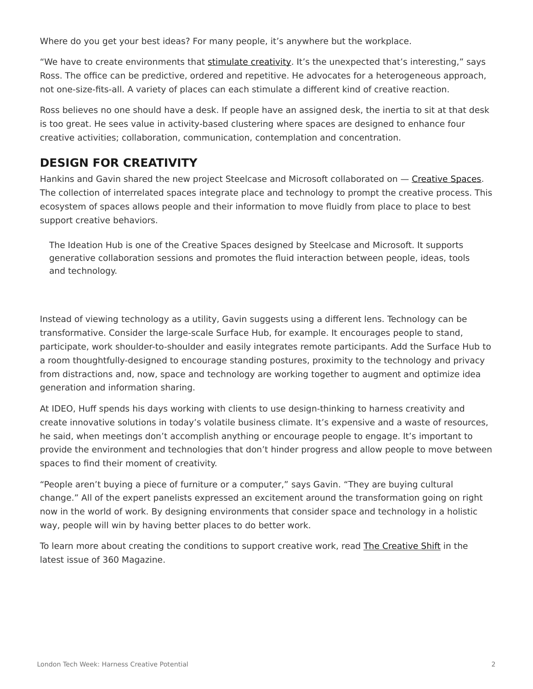Where do you get your best ideas? For many people, it's anywhere but the workplace.

"We have to create environments that [stimulate creativity.](https://www.steelcase.com/research/articles/topics/innovation/creating-conditions-for-creativity-in-the-workplace/) It's the unexpected that's interesting," says Ross. The office can be predictive, ordered and repetitive. He advocates for a heterogeneous approach, not one-size-fits-all. A variety of places can each stimulate a different kind of creative reaction.

Ross believes no one should have a desk. If people have an assigned desk, the inertia to sit at that desk is too great. He sees value in activity-based clustering where spaces are designed to enhance four creative activities; collaboration, communication, contemplation and concentration.

## **DESIGN FOR CREATIVITY**

Hankins and Gavin shared the new project Steelcase and Microsoft collaborated on - [Creative Spaces](https://www.steelcase.com/microsoft-steelcase/creativity/). The collection of interrelated spaces integrate place and technology to prompt the creative process. This ecosystem of spaces allows people and their information to move fluidly from place to place to best support creative behaviors.

The Ideation Hub is one of the Creative Spaces designed by Steelcase and Microsoft. It supports generative collaboration sessions and promotes the fluid interaction between people, ideas, tools and technology.

Instead of viewing technology as a utility, Gavin suggests using a different lens. Technology can be transformative. Consider the large-scale Surface Hub, for example. It encourages people to stand, participate, work shoulder-to-shoulder and easily integrates remote participants. Add the Surface Hub to a room thoughtfully-designed to encourage standing postures, proximity to the technology and privacy from distractions and, now, space and technology are working together to augment and optimize idea generation and information sharing.

At IDEO, Huff spends his days working with clients to use design-thinking to harness creativity and create innovative solutions in today's volatile business climate. It's expensive and a waste of resources, he said, when meetings don't accomplish anything or encourage people to engage. It's important to provide the environment and technologies that don't hinder progress and allow people to move between spaces to find their moment of creativity.

"People aren't buying a piece of furniture or a computer," says Gavin. "They are buying cultural change." All of the expert panelists expressed an excitement around the transformation going on right now in the world of work. By designing environments that consider space and technology in a holistic way, people will win by having better places to do better work.

To learn more about creating the conditions to support creative work, read [The Creative Shift](https://www.steelcase.com/research/articles/topics/creativity/creative-shift/) in the latest issue of 360 Magazine.